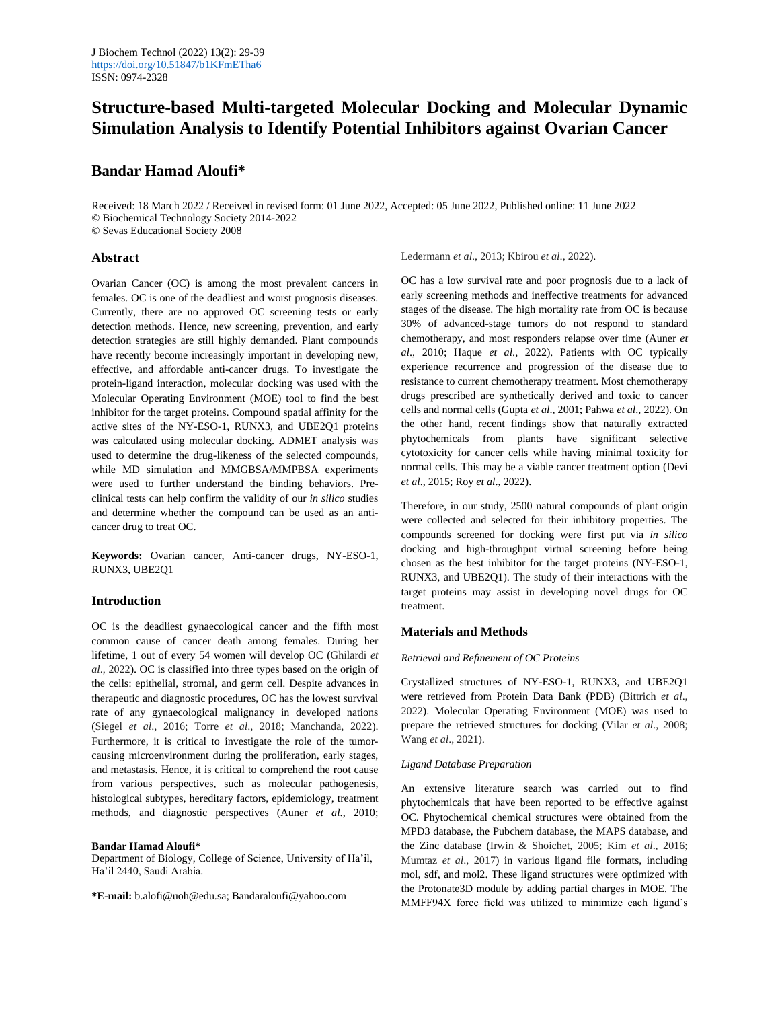# **Structure-based Multi-targeted Molecular Docking and Molecular Dynamic Simulation Analysis to Identify Potential Inhibitors against Ovarian Cancer**

## **Bandar Hamad Aloufi\***

Received: 18 March 2022 / Received in revised form: 01 June 2022, Accepted: 05 June 2022, Published online: 11 June 2022 © Biochemical Technology Society 2014-2022 © Sevas Educational Society 2008

#### **Abstract**

Ovarian Cancer (OC) is among the most prevalent cancers in females. OC is one of the deadliest and worst prognosis diseases. Currently, there are no approved OC screening tests or early detection methods. Hence, new screening, prevention, and early detection strategies are still highly demanded. Plant compounds have recently become increasingly important in developing new, effective, and affordable anti-cancer drugs. To investigate the protein-ligand interaction, molecular docking was used with the Molecular Operating Environment (MOE) tool to find the best inhibitor for the target proteins. Compound spatial affinity for the active sites of the NY-ESO-1, RUNX3, and UBE2Q1 proteins was calculated using molecular docking. ADMET analysis was used to determine the drug-likeness of the selected compounds, while MD simulation and MMGBSA/MMPBSA experiments were used to further understand the binding behaviors. Preclinical tests can help confirm the validity of our *in silico* studies and determine whether the compound can be used as an anticancer drug to treat OC.

**Keywords:** Ovarian cancer, Anti-cancer drugs, NY-ESO-1, RUNX3, UBE2Q1

## **Introduction**

OC is the deadliest gynaecological cancer and the fifth most common cause of cancer death among females. During her lifetime, 1 out of every 54 women will develop OC (Ghilardi *et al*., 2022). OC is classified into three types based on the origin of the cells: epithelial, stromal, and germ cell. Despite advances in therapeutic and diagnostic procedures, OC has the lowest survival rate of any gynaecological malignancy in developed nations (Siegel *et al*., 2016; Torre *et al*., 2018; Manchanda, 2022). Furthermore, it is critical to investigate the role of the tumorcausing microenvironment during the proliferation, early stages, and metastasis. Hence, it is critical to comprehend the root cause from various perspectives, such as molecular pathogenesis, histological subtypes, hereditary factors, epidemiology, treatment methods, and diagnostic perspectives (Auner *et al*., 2010;

**Bandar Hamad Aloufi\***

Department of Biology, College of Science, University of Ha'il, Ha'il 2440, Saudi Arabia.

**\*E-mail:** b.alofi@uoh@edu.sa; Bandaraloufi@yahoo.com

Ledermann *et al*., 2013; Kbirou *et al*., 2022).

OC has a low survival rate and poor prognosis due to a lack of early screening methods and ineffective treatments for advanced stages of the disease. The high mortality rate from OC is because 30% of advanced-stage tumors do not respond to standard chemotherapy, and most responders relapse over time (Auner *et al*., 2010; Haque *et al*., 2022). Patients with OC typically experience recurrence and progression of the disease due to resistance to current chemotherapy treatment. Most chemotherapy drugs prescribed are synthetically derived and toxic to cancer cells and normal cells (Gupta *et al*., 2001; Pahwa *et al*., 2022). On the other hand, recent findings show that naturally extracted phytochemicals from plants have significant selective cytotoxicity for cancer cells while having minimal toxicity for normal cells. This may be a viable cancer treatment option (Devi *et al*., 2015; Roy *et al*., 2022).

Therefore, in our study, 2500 natural compounds of plant origin were collected and selected for their inhibitory properties. The compounds screened for docking were first put via *in silico* docking and high-throughput virtual screening before being chosen as the best inhibitor for the target proteins (NY-ESO-1, RUNX3, and UBE2Q1). The study of their interactions with the target proteins may assist in developing novel drugs for OC treatment.

#### **Materials and Methods**

#### *Retrieval and Refinement of OC Proteins*

Crystallized structures of NY-ESO-1, RUNX3, and UBE2Q1 were retrieved from Protein Data Bank (PDB) (Bittrich *et al*., 2022). Molecular Operating Environment (MOE) was used to prepare the retrieved structures for docking (Vilar *et al*., 2008; Wang *et al*., 2021).

## *Ligand Database Preparation*

An extensive literature search was carried out to find phytochemicals that have been reported to be effective against OC. Phytochemical chemical structures were obtained from the MPD3 database, the Pubchem database, the MAPS database, and the Zinc database (Irwin & Shoichet, 2005; Kim *et al*., 2016; Mumtaz *et al*., 2017) in various ligand file formats, including mol, sdf, and mol2. These ligand structures were optimized with the Protonate3D module by adding partial charges in MOE. The MMFF94X force field was utilized to minimize each ligand's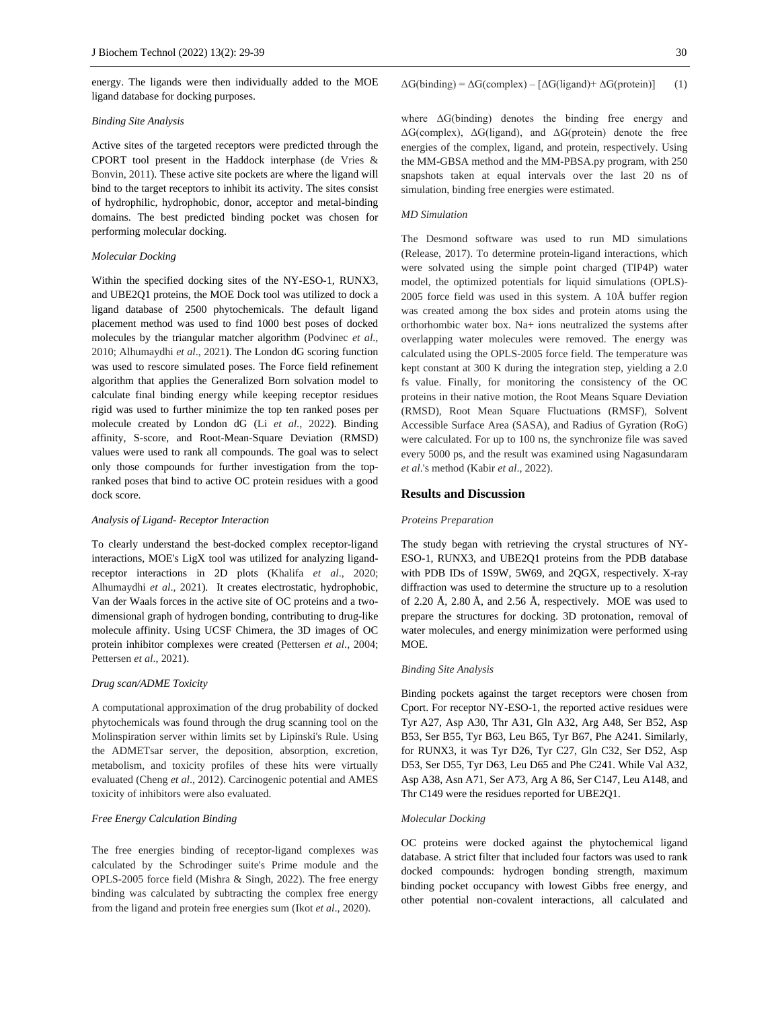energy. The ligands were then individually added to the MOE ligand database for docking purposes.

## *Binding Site Analysis*

Active sites of the targeted receptors were predicted through the CPORT tool present in the Haddock interphase (de Vries & Bonvin, 2011). These active site pockets are where the ligand will bind to the target receptors to inhibit its activity. The sites consist of hydrophilic, hydrophobic, donor, acceptor and metal-binding domains. The best predicted binding pocket was chosen for performing molecular docking.

#### *Molecular Docking*

Within the specified docking sites of the NY-ESO-1, RUNX3, and UBE2Q1 proteins, the MOE Dock tool was utilized to dock a ligand database of 2500 phytochemicals. The default ligand placement method was used to find 1000 best poses of docked molecules by the triangular matcher algorithm (Podvinec *et al*., 2010; Alhumaydhi *et al*., 2021). The London dG scoring function was used to rescore simulated poses. The Force field refinement algorithm that applies the Generalized Born solvation model to calculate final binding energy while keeping receptor residues rigid was used to further minimize the top ten ranked poses per molecule created by London dG (Li *et al*., 2022). Binding affinity, S-score, and Root-Mean-Square Deviation (RMSD) values were used to rank all compounds. The goal was to select only those compounds for further investigation from the topranked poses that bind to active OC protein residues with a good dock score.

#### *Analysis of Ligand- Receptor Interaction*

To clearly understand the best-docked complex receptor-ligand interactions, MOE's LigX tool was utilized for analyzing ligandreceptor interactions in 2D plots (Khalifa *et al*., 2020; Alhumaydhi *et al*., 2021). It creates electrostatic, hydrophobic, Van der Waals forces in the active site of OC proteins and a twodimensional graph of hydrogen bonding, contributing to drug-like molecule affinity. Using UCSF Chimera, the 3D images of OC protein inhibitor complexes were created (Pettersen *et al*., 2004; Pettersen *et al*., 2021).

#### *Drug scan/ADME Toxicity*

A computational approximation of the drug probability of docked phytochemicals was found through the drug scanning tool on the Molinspiration server within limits set by Lipinski's Rule. Using the ADMETsar server, the deposition, absorption, excretion, metabolism, and toxicity profiles of these hits were virtually evaluated (Cheng *et al*., 2012). Carcinogenic potential and AMES toxicity of inhibitors were also evaluated.

## *Free Energy Calculation Binding*

The free energies binding of receptor-ligand complexes was calculated by the Schrodinger suite's Prime module and the OPLS-2005 force field (Mishra & Singh, 2022). The free energy binding was calculated by subtracting the complex free energy from the ligand and protein free energies sum (Ikot *et al*., 2020).

 $\Delta G$ (binding) =  $\Delta G$ (complex) – [ $\Delta G$ (ligand) +  $\Delta G$ (protein)] (1)

where ΔG(binding) denotes the binding free energy and ΔG(complex), ΔG(ligand), and ΔG(protein) denote the free energies of the complex, ligand, and protein, respectively. Using the MM-GBSA method and the MM-PBSA.py program, with 250 snapshots taken at equal intervals over the last 20 ns of simulation, binding free energies were estimated.

#### *MD Simulation*

The Desmond software was used to run MD simulations (Release, 2017). To determine protein-ligand interactions, which were solvated using the simple point charged (TIP4P) water model, the optimized potentials for liquid simulations (OPLS)- 2005 force field was used in this system. A 10Å buffer region was created among the box sides and protein atoms using the orthorhombic water box. Na+ ions neutralized the systems after overlapping water molecules were removed. The energy was calculated using the OPLS-2005 force field. The temperature was kept constant at 300 K during the integration step, yielding a 2.0 fs value. Finally, for monitoring the consistency of the OC proteins in their native motion, the Root Means Square Deviation (RMSD), Root Mean Square Fluctuations (RMSF), Solvent Accessible Surface Area (SASA), and Radius of Gyration (RoG) were calculated. For up to 100 ns, the synchronize file was saved every 5000 ps, and the result was examined using Nagasundaram *et al*.'s method (Kabir *et al*., 2022).

#### **Results and Discussion**

#### *Proteins Preparation*

The study began with retrieving the crystal structures of NY-ESO-1, RUNX3, and UBE2Q1 proteins from the PDB database with PDB IDs of 1S9W, 5W69, and 2QGX, respectively. X-ray diffraction was used to determine the structure up to a resolution of 2.20 Å, 2.80 Å, and 2.56 Å, respectively. MOE was used to prepare the structures for docking. 3D protonation, removal of water molecules, and energy minimization were performed using MOE.

#### *Binding Site Analysis*

Binding pockets against the target receptors were chosen from Cport. For receptor NY-ESO-1, the reported active residues were Tyr A27, Asp A30, Thr A31, Gln A32, Arg A48, Ser B52, Asp B53, Ser B55, Tyr B63, Leu B65, Tyr B67, Phe A241. Similarly, for RUNX3, it was Tyr D26, Tyr C27, Gln C32, Ser D52, Asp D53, Ser D55, Tyr D63, Leu D65 and Phe C241. While Val A32, Asp A38, Asn A71, Ser A73, Arg A 86, Ser C147, Leu A148, and Thr C149 were the residues reported for UBE2Q1.

#### *Molecular Docking*

OC proteins were docked against the phytochemical ligand database. A strict filter that included four factors was used to rank docked compounds: hydrogen bonding strength, maximum binding pocket occupancy with lowest Gibbs free energy, and other potential non-covalent interactions, all calculated and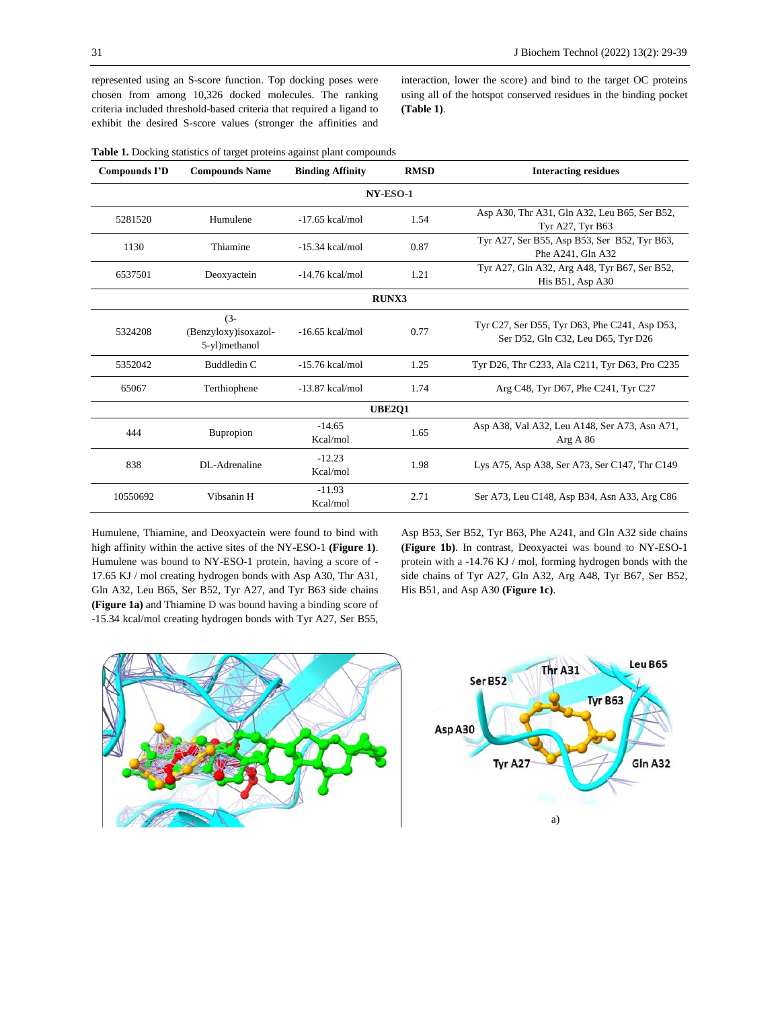represented using an S-score function. Top docking poses were chosen from among 10,326 docked molecules. The ranking criteria included threshold-based criteria that required a ligand to exhibit the desired S-score values (stronger the affinities and

interaction, lower the score) and bind to the target OC proteins using all of the hotspot conserved residues in the binding pocket **(Table 1)**.

| <b>Compounds I'D</b> | <b>Compounds Name</b>                             | <b>Binding Affinity</b>   | <b>RMSD</b><br><b>Interacting residues</b>                |                                                                                     |  |  |  |  |  |  |  |  |
|----------------------|---------------------------------------------------|---------------------------|-----------------------------------------------------------|-------------------------------------------------------------------------------------|--|--|--|--|--|--|--|--|
| NY-ESO-1             |                                                   |                           |                                                           |                                                                                     |  |  |  |  |  |  |  |  |
| 5281520              | Humulene                                          | 1.54<br>$-17.65$ kcal/mol |                                                           | Asp A30, Thr A31, Gln A32, Leu B65, Ser B52,<br>Tyr A27, Tyr B63                    |  |  |  |  |  |  |  |  |
| 1130                 | Thiamine                                          | 0.87<br>$-15.34$ kcal/mol |                                                           | Tyr A27, Ser B55, Asp B53, Ser B52, Tyr B63,<br>Phe A241, Gln A32                   |  |  |  |  |  |  |  |  |
| 6537501              | Deoxyactein                                       | $-14.76$ kcal/mol         | 1.21                                                      | Tyr A27, Gln A32, Arg A48, Tyr B67, Ser B52,<br>His B51, Asp A30                    |  |  |  |  |  |  |  |  |
| <b>RUNX3</b>         |                                                   |                           |                                                           |                                                                                     |  |  |  |  |  |  |  |  |
| 5324208              | $(3 - )$<br>(Benzyloxy)isoxazol-<br>5-yl)methanol | $-16.65$ kcal/mol<br>0.77 |                                                           | Tyr C27, Ser D55, Tyr D63, Phe C241, Asp D53,<br>Ser D52, Gln C32, Leu D65, Tyr D26 |  |  |  |  |  |  |  |  |
| 5352042              | Buddledin C                                       | $-15.76$ kcal/mol         | 1.25                                                      | Tyr D26, Thr C233, Ala C211, Tyr D63, Pro C235                                      |  |  |  |  |  |  |  |  |
| 65067                | Terthiophene                                      | $-13.87$ kcal/mol         | 1.74                                                      | Arg C48, Tyr D67, Phe C241, Tyr C27                                                 |  |  |  |  |  |  |  |  |
| <b>UBE201</b>        |                                                   |                           |                                                           |                                                                                     |  |  |  |  |  |  |  |  |
| 444                  | $-14.65$<br>1.65<br>Bupropion<br>Kcal/mol         |                           | Asp A38, Val A32, Leu A148, Ser A73, Asn A71,<br>Arg A 86 |                                                                                     |  |  |  |  |  |  |  |  |
| 838                  | DL-Adrenaline                                     | $-12.23$<br>Kcal/mol      | 1.98                                                      | Lys A75, Asp A38, Ser A73, Ser C147, Thr C149                                       |  |  |  |  |  |  |  |  |
| 10550692             | Vibsanin H                                        | $-11.93$<br>Kcal/mol      | 2.71                                                      | Ser A73, Leu C148, Asp B34, Asn A33, Arg C86                                        |  |  |  |  |  |  |  |  |

**Table 1.** Docking statistics of target proteins against plant compounds

Humulene, Thiamine, and Deoxyactein were found to bind with high affinity within the active sites of the NY-ESO-1 **(Figure 1)**. Humulene was bound to NY-ESO-1 protein, having a score of - 17.65 KJ / mol creating hydrogen bonds with Asp A30, Thr A31, Gln A32, Leu B65, Ser B52, Tyr A27, and Tyr B63 side chains **(Figure 1a)** and Thiamine D was bound having a binding score of -15.34 kcal/mol creating hydrogen bonds with Tyr A27, Ser B55, Asp B53, Ser B52, Tyr B63, Phe A241, and Gln A32 side chains **(Figure 1b)**. In contrast, Deoxyactei was bound to NY-ESO-1 protein with a -14.76 KJ / mol, forming hydrogen bonds with the side chains of Tyr A27, Gln A32, Arg A48, Tyr B67, Ser B52, His B51, and Asp A30 **(Figure 1c)**.



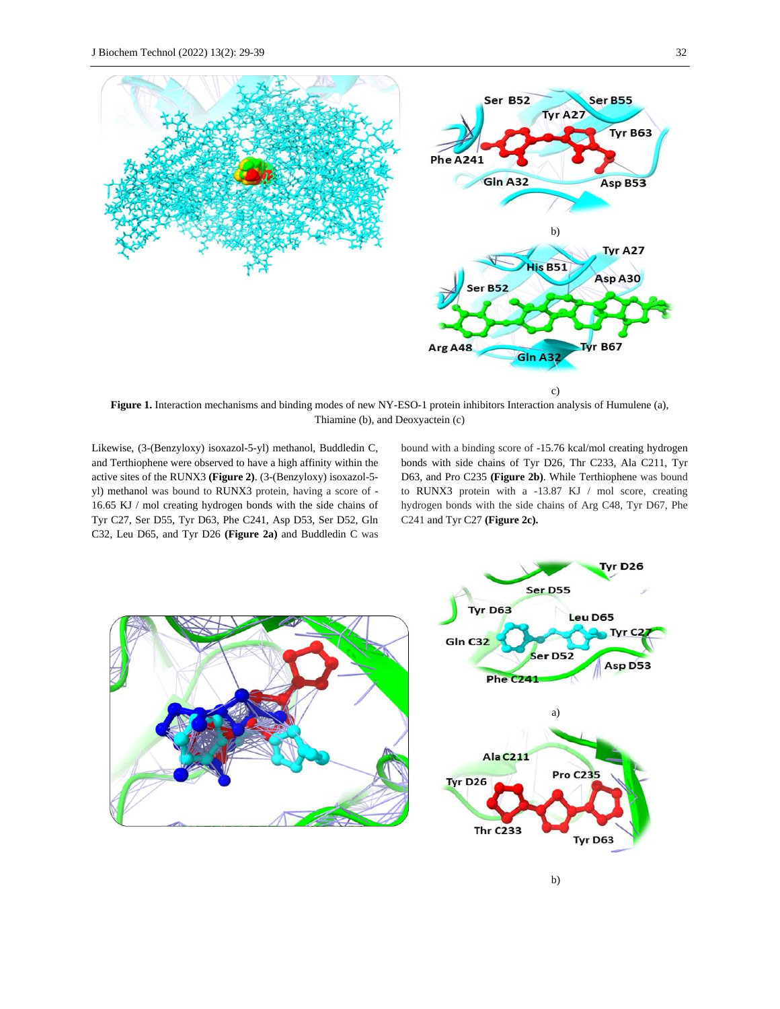

**Figure 1.** Interaction mechanisms and binding modes of new NY-ESO-1 protein inhibitors Interaction analysis of Humulene (a), Thiamine (b), and Deoxyactein (c)

Likewise, (3-(Benzyloxy) isoxazol-5-yl) methanol, Buddledin C, and Terthiophene were observed to have a high affinity within the active sites of the RUNX3 **(Figure 2)**. (3-(Benzyloxy) isoxazol-5 yl) methanol was bound to RUNX3 protein, having a score of - 16.65 KJ / mol creating hydrogen bonds with the side chains of Tyr C27, Ser D55, Tyr D63, Phe C241, Asp D53, Ser D52, Gln C32, Leu D65, and Tyr D26 **(Figure 2a)** and Buddledin C was

bound with a binding score of -15.76 kcal/mol creating hydrogen bonds with side chains of Tyr D26, Thr C233, Ala C211, Tyr D63, and Pro C235 **(Figure 2b)**. While Terthiophene was bound to RUNX3 protein with a -13.87 KJ / mol score, creating hydrogen bonds with the side chains of Arg C48, Tyr D67, Phe C241 and Tyr C27 **(Figure 2c).**

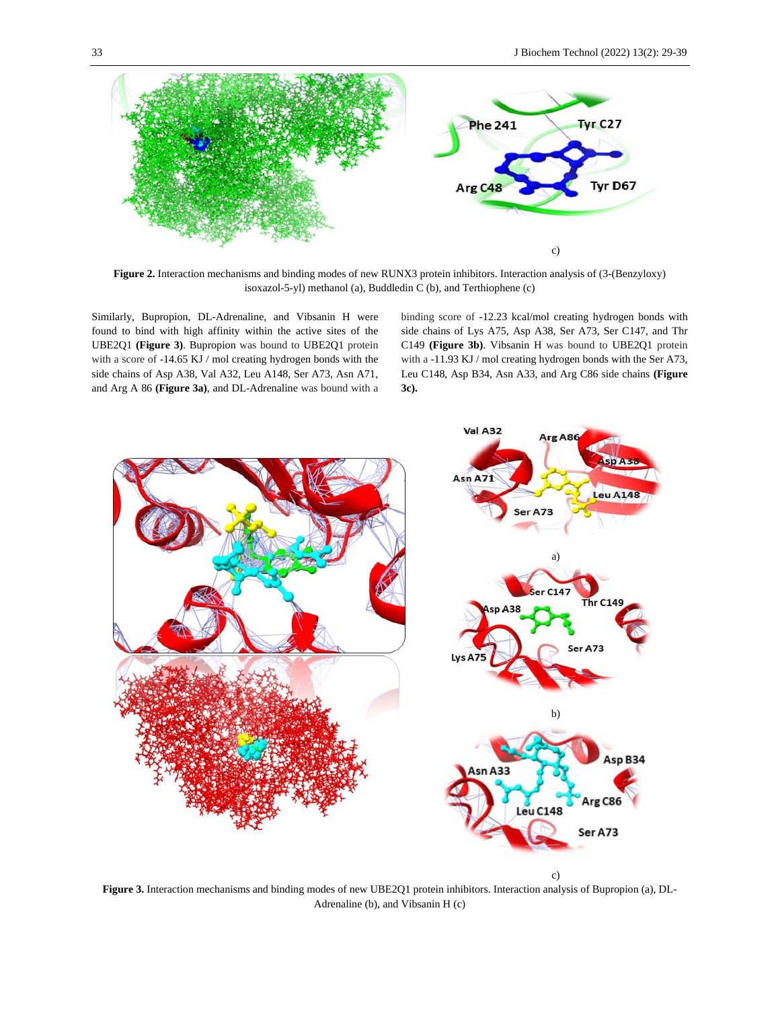

**Figure 2.** Interaction mechanisms and binding modes of new RUNX3 protein inhibitors. Interaction analysis of (3-(Benzyloxy) isoxazol-5-yl) methanol (a), Buddledin C (b), and Terthiophene (c)

Similarly, Bupropion, DL-Adrenaline, and Vibsanin H were found to bind with high affinity within the active sites of the UBE2Q1 **(Figure 3)**. Bupropion was bound to UBE2Q1 protein with a score of -14.65 KJ / mol creating hydrogen bonds with the side chains of Asp A38, Val A32, Leu A148, Ser A73, Asn A71, and Arg A 86 **(Figure 3a)**, and DL-Adrenaline was bound with a binding score of -12.23 kcal/mol creating hydrogen bonds with side chains of Lys A75, Asp A38, Ser A73, Ser C147, and Thr C149 **(Figure 3b)**. Vibsanin H was bound to UBE2Q1 protein with a -11.93 KJ / mol creating hydrogen bonds with the Ser A73, Leu C148, Asp B34, Asn A33, and Arg C86 side chains **(Figure 3c).**



**Figure 3.** Interaction mechanisms and binding modes of new UBE2Q1 protein inhibitors. Interaction analysis of Bupropion (a), DL-Adrenaline (b), and Vibsanin H (c)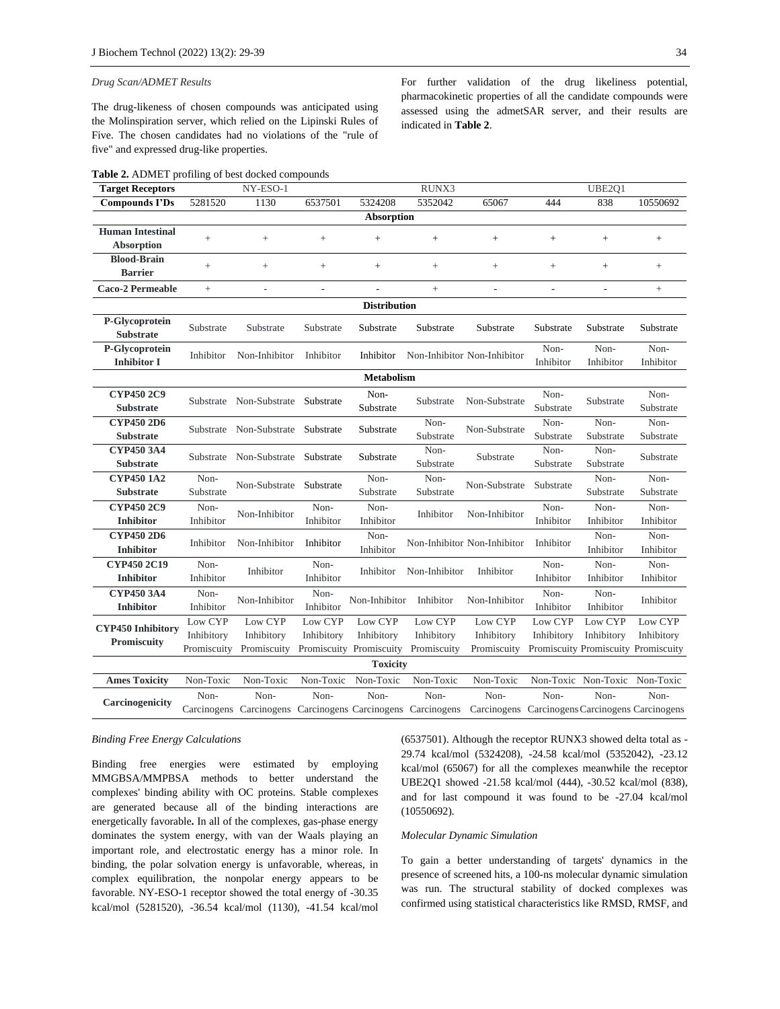#### *Drug Scan/ADMET Results*

The drug-likeness of chosen compounds was anticipated using the Molinspiration server, which relied on the Lipinski Rules of Five. The chosen candidates had no violations of the "rule of five" and expressed drug-like properties.

**Table 2.** ADMET profiling of best docked compounds

| <b>Target Receptors</b>                      |                                      | NY-ESO-1                                                                                                            |                       |                                                  | RUNX3                                |                                      |                       | UBE2Q1                                                       |                       |  |  |  |
|----------------------------------------------|--------------------------------------|---------------------------------------------------------------------------------------------------------------------|-----------------------|--------------------------------------------------|--------------------------------------|--------------------------------------|-----------------------|--------------------------------------------------------------|-----------------------|--|--|--|
| <b>Compounds I'Ds</b>                        | 5281520                              | 1130                                                                                                                | 6537501               | 5324208                                          | 5352042                              | 65067                                | 444                   | 838                                                          | 10550692              |  |  |  |
| Absorption                                   |                                      |                                                                                                                     |                       |                                                  |                                      |                                      |                       |                                                              |                       |  |  |  |
| <b>Human Intestinal</b><br><b>Absorption</b> | $+$                                  | $^{+}$                                                                                                              | $^{+}$                | $\! +$                                           | $+$                                  | $^{+}$                               | $+$                   | $^{+}$                                                       | $+$                   |  |  |  |
| <b>Blood-Brain</b><br><b>Barrier</b>         | $^{+}$                               | $\qquad \qquad +$                                                                                                   | $+$                   | $\! +$                                           | $+$                                  | $+$                                  | $+$                   | $\qquad \qquad +$                                            | $\! + \!\!\!\!$       |  |  |  |
| Caco-2 Permeable                             | $+$                                  | L,                                                                                                                  | L,                    |                                                  | $+$                                  |                                      | ÷,                    | L,                                                           | $+$                   |  |  |  |
| <b>Distribution</b>                          |                                      |                                                                                                                     |                       |                                                  |                                      |                                      |                       |                                                              |                       |  |  |  |
| P-Glycoprotein<br><b>Substrate</b>           | Substrate                            | Substrate                                                                                                           | Substrate             | Substrate                                        | Substrate                            | Substrate                            | Substrate             | Substrate                                                    | Substrate             |  |  |  |
| P-Glycoprotein<br><b>Inhibitor I</b>         | Inhibitor                            | Non-Inhibitor                                                                                                       | Inhibitor             | Inhibitor                                        |                                      | Non-Inhibitor Non-Inhibitor          | Non-<br>Inhibitor     | Non-<br>Inhibitor                                            | Non-<br>Inhibitor     |  |  |  |
|                                              |                                      |                                                                                                                     |                       | <b>Metabolism</b>                                |                                      |                                      |                       |                                                              |                       |  |  |  |
| <b>CYP450 2C9</b><br><b>Substrate</b>        |                                      | Substrate Non-Substrate                                                                                             | Substrate             | Non-<br>Substrate                                | Substrate                            | Non-Substrate                        | Non-<br>Substrate     | Substrate                                                    | Non-<br>Substrate     |  |  |  |
| <b>CYP450 2D6</b><br><b>Substrate</b>        |                                      | Substrate Non-Substrate                                                                                             | Substrate             | Substrate                                        | Non-<br>Substrate                    | Non-Substrate                        | Non-<br>Substrate     | Non-<br>Substrate                                            | Non-<br>Substrate     |  |  |  |
| <b>CYP450 3A4</b><br><b>Substrate</b>        |                                      | Substrate Non-Substrate                                                                                             | Substrate             | Substrate                                        | Non-<br>Substrate                    | Substrate                            | Non-<br>Substrate     | Non-<br>Substrate                                            | Substrate             |  |  |  |
| <b>CYP450 1A2</b><br><b>Substrate</b>        | Non-<br>Substrate                    | Non-Substrate                                                                                                       | Substrate             | Non-<br>Substrate                                | Non-<br>Substrate                    | Non-Substrate                        | Substrate             | Non-<br>Substrate                                            | Non-<br>Substrate     |  |  |  |
| <b>CYP450 2C9</b><br><b>Inhibitor</b>        | Non-<br>Inhibitor                    | Non-Inhibitor                                                                                                       | Non-<br>Inhibitor     | Non-<br>Inhibitor                                | Inhibitor                            | Non-Inhibitor                        | Non-<br>Inhibitor     | Non-<br>Inhibitor                                            | Non-<br>Inhibitor     |  |  |  |
| <b>CYP450 2D6</b><br><b>Inhibitor</b>        | Inhibitor                            | Non-Inhibitor                                                                                                       | Inhibitor             | Non-<br>Inhibitor                                |                                      | Non-Inhibitor Non-Inhibitor          | Inhibitor             | Non-<br>Inhibitor                                            | Non-<br>Inhibitor     |  |  |  |
| CYP450 2C19<br><b>Inhibitor</b>              | Non-<br>Inhibitor                    | Inhibitor                                                                                                           | Non-<br>Inhibitor     | Inhibitor                                        | Non-Inhibitor                        | Inhibitor                            | Non-<br>Inhibitor     | Non-<br>Inhibitor                                            | Non-<br>Inhibitor     |  |  |  |
| CYP450 3A4<br><b>Inhibitor</b>               | Non-<br>Inhibitor                    | Non-Inhibitor                                                                                                       | Non-<br>Inhibitor     | Non-Inhibitor                                    | Inhibitor                            | Non-Inhibitor                        | Non-<br>Inhibitor     | Non-<br>Inhibitor                                            | Inhibitor             |  |  |  |
| <b>CYP450 Inhibitory</b><br>Promiscuity      | Low CYP<br>Inhibitory<br>Promiscuity | Low CYP<br>Inhibitory<br>Promiscuity                                                                                | Low CYP<br>Inhibitory | Low CYP<br>Inhibitory<br>Promiscuity Promiscuity | Low CYP<br>Inhibitory<br>Promiscuity | Low CYP<br>Inhibitory<br>Promiscuity | Low CYP<br>Inhibitory | Low CYP<br>Inhibitory<br>Promiscuity Promiscuity Promiscuity | Low CYP<br>Inhibitory |  |  |  |
| <b>Toxicity</b>                              |                                      |                                                                                                                     |                       |                                                  |                                      |                                      |                       |                                                              |                       |  |  |  |
| <b>Ames Toxicity</b>                         | Non-Toxic                            | Non-Toxic                                                                                                           | Non-Toxic             | Non-Toxic                                        | Non-Toxic                            | Non-Toxic                            |                       | Non-Toxic Non-Toxic                                          | Non-Toxic             |  |  |  |
| Carcinogenicity                              | Non-                                 | Non-<br>Carcinogens Carcinogens Carcinogens Carcinogens Carcinogens Carcinogens Carcinogens Carcinogens Carcinogens | Non-                  | Non-                                             | Non-                                 | Non-                                 | Non-                  | Non-                                                         | Non-                  |  |  |  |

#### *Binding Free Energy Calculations*

Binding free energies were estimated by employing MMGBSA/MMPBSA methods to better understand the complexes' binding ability with OC proteins. Stable complexes are generated because all of the binding interactions are energetically favorable**.** In all of the complexes, gas-phase energy dominates the system energy, with van der Waals playing an important role, and electrostatic energy has a minor role. In binding, the polar solvation energy is unfavorable, whereas, in complex equilibration, the nonpolar energy appears to be favorable. NY-ESO-1 receptor showed the total energy of -30.35 kcal/mol (5281520), -36.54 kcal/mol (1130), -41.54 kcal/mol

(6537501). Although the receptor RUNX3 showed delta total as - 29.74 kcal/mol (5324208), -24.58 kcal/mol (5352042), -23.12 kcal/mol (65067) for all the complexes meanwhile the receptor UBE2Q1 showed -21.58 kcal/mol (444), -30.52 kcal/mol (838), and for last compound it was found to be -27.04 kcal/mol (10550692).

#### *Molecular Dynamic Simulation*

To gain a better understanding of targets' dynamics in the presence of screened hits, a 100-ns molecular dynamic simulation was run. The structural stability of docked complexes was confirmed using statistical characteristics like RMSD, RMSF, and

For further validation of the drug likeliness potential, pharmacokinetic properties of all the candidate compounds were assessed using the admetSAR server, and their results are indicated in **Table 2**.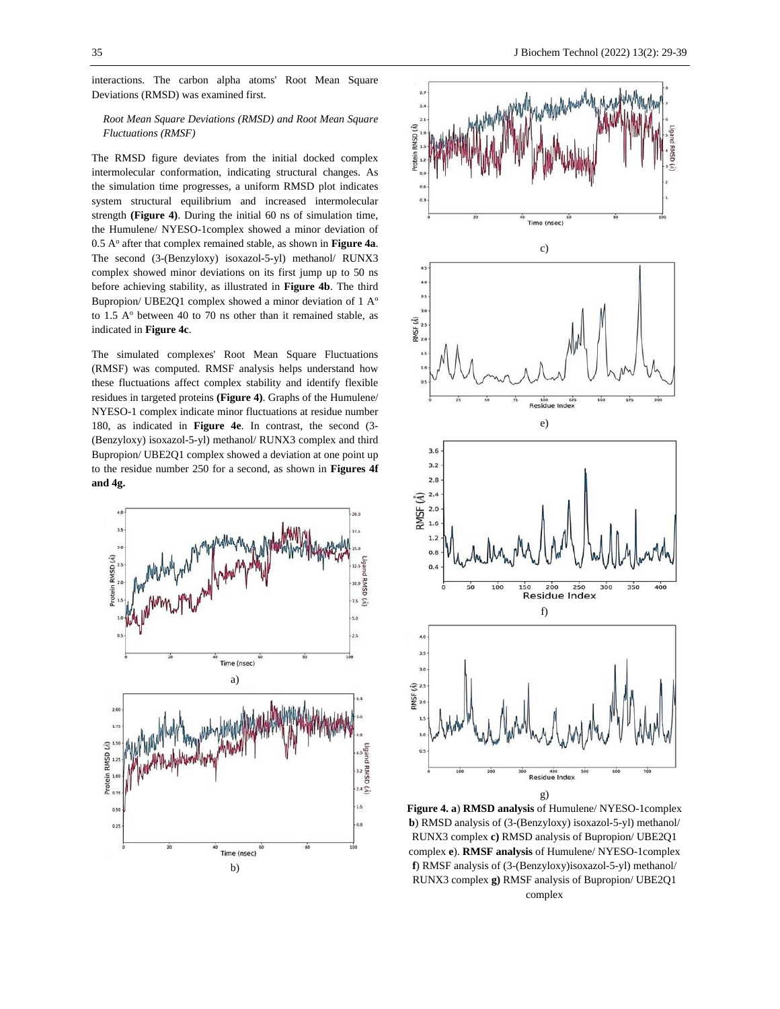interactions. The carbon alpha atoms' Root Mean Square Deviations (RMSD) was examined first.

## *Root Mean Square Deviations (RMSD) and Root Mean Square Fluctuations (RMSF)*

The RMSD figure deviates from the initial docked complex intermolecular conformation, indicating structural changes. As the simulation time progresses, a uniform RMSD plot indicates system structural equilibrium and increased intermolecular strength **(Figure 4)**. During the initial 60 ns of simulation time, the Humulene/ NYESO-1complex showed a minor deviation of 0.5 A<sup>o</sup> after that complex remained stable, as shown in **Figure 4a**. The second (3-(Benzyloxy) isoxazol-5-yl) methanol/ RUNX3 complex showed minor deviations on its first jump up to 50 ns before achieving stability, as illustrated in **Figure 4b**. The third Bupropion/ UBE2Q1 complex showed a minor deviation of 1 A<sup>o</sup> to 1.5  $A<sup>o</sup>$  between 40 to 70 ns other than it remained stable, as indicated in **Figure 4c**.

The simulated complexes' Root Mean Square Fluctuations (RMSF) was computed. RMSF analysis helps understand how these fluctuations affect complex stability and identify flexible residues in targeted proteins **(Figure 4)**. Graphs of the Humulene/ NYESO-1 complex indicate minor fluctuations at residue number 180, as indicated in **Figure 4e**. In contrast, the second (3- (Benzyloxy) isoxazol-5-yl) methanol/ RUNX3 complex and third Bupropion/ UBE2Q1 complex showed a deviation at one point up to the residue number 250 for a second, as shown in **Figures 4f and 4g.**





**Figure 4. a**) **RMSD analysis** of Humulene/ NYESO-1complex **b**) RMSD analysis of (3-(Benzyloxy) isoxazol-5-yl) methanol/ RUNX3 complex **c)** RMSD analysis of Bupropion/ UBE2Q1 complex **e**). **RMSF analysis** of Humulene/ NYESO-1complex **f**) RMSF analysis of (3-(Benzyloxy)isoxazol-5-yl) methanol/ RUNX3 complex **g)** RMSF analysis of Bupropion/ UBE2Q1 complex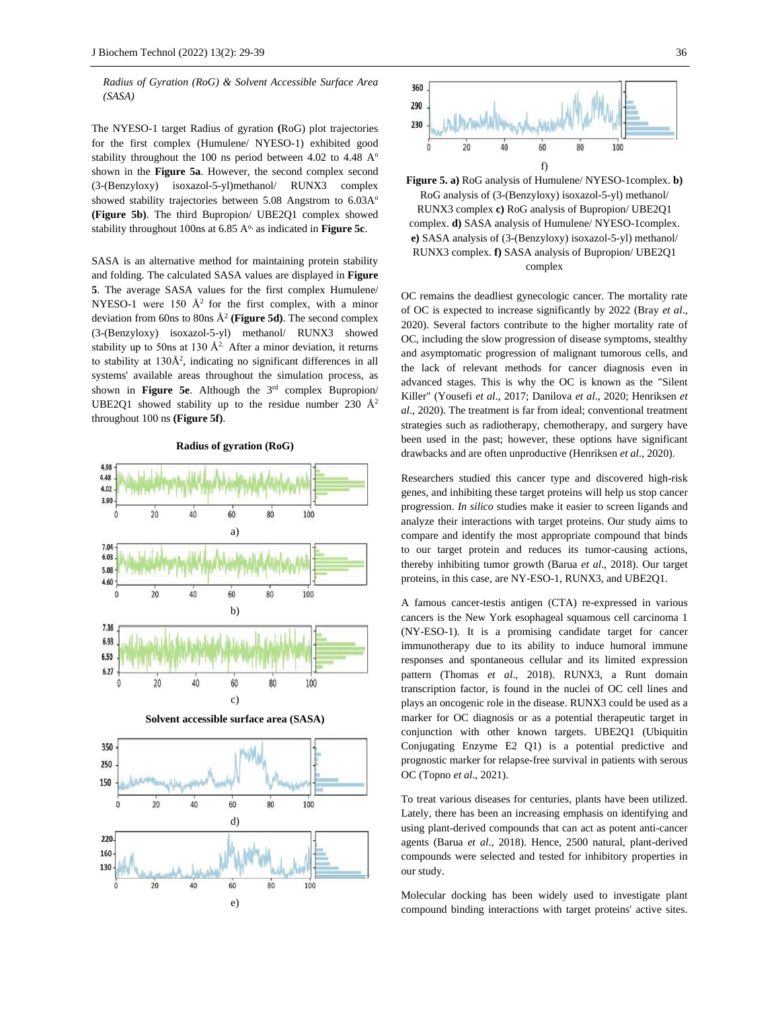*Radius of Gyration (RoG) & Solvent Accessible Surface Area (SASA)*

The NYESO-1 target Radius of gyration **(**RoG) plot trajectories for the first complex (Humulene/ NYESO-1) exhibited good stability throughout the 100 ns period between 4.02 to 4.48  $A^{\circ}$ shown in the **Figure 5a**. However, the second complex second (3-(Benzyloxy) isoxazol-5-yl)methanol/ RUNX3 complex showed stability trajectories between 5.08 Angstrom to 6.03A<sup>o</sup> **(Figure 5b)**. The third Bupropion/ UBE2Q1 complex showed stability throughout 100ns at 6.85 A<sup>o,</sup> as indicated in **Figure 5c**.

SASA is an alternative method for maintaining protein stability and folding. The calculated SASA values are displayed in **Figure 5**. The average SASA values for the first complex Humulene/ NYESO-1 were 150  $A^2$  for the first complex, with a minor deviation from 60ns to 80ns Å<sup>2</sup> **(Figure 5d)**. The second complex (3-(Benzyloxy) isoxazol-5-yl) methanol/ RUNX3 showed stability up to 50ns at 130  $A^2$ . After a minor deviation, it returns to stability at 130Å<sup>2</sup>, indicating no significant differences in all systems' available areas throughout the simulation process, as shown in **Figure 5e**. Although the 3rd complex Bupropion/ UBE2Q1 showed stability up to the residue number 230  $\AA$ <sup>2</sup> throughout 100 ns **(Figure 5f)**.

**Radius of gyration (RoG)**





**Figure 5. a)** RoG analysis of Humulene/ NYESO-1complex. **b)** RoG analysis of (3-(Benzyloxy) isoxazol-5-yl) methanol/ RUNX3 complex **c)** RoG analysis of Bupropion/ UBE2Q1 complex. **d)** SASA analysis of Humulene/ NYESO-1complex. **e)** SASA analysis of (3-(Benzyloxy) isoxazol-5-yl) methanol/ RUNX3 complex. **f)** SASA analysis of Bupropion/ UBE2Q1 complex

OC remains the deadliest gynecologic cancer. The mortality rate of OC is expected to increase significantly by 2022 (Bray *et al*., 2020). Several factors contribute to the higher mortality rate of OC, including the slow progression of disease symptoms, stealthy and asymptomatic progression of malignant tumorous cells, and the lack of relevant methods for cancer diagnosis even in advanced stages. This is why the OC is known as the "Silent Killer" (Yousefi *et al*., 2017; Danilova *et al*., 2020; Henriksen *et al*., 2020). The treatment is far from ideal; conventional treatment strategies such as radiotherapy, chemotherapy, and surgery have been used in the past; however, these options have significant drawbacks and are often unproductive (Henriksen *et al*., 2020).

Researchers studied this cancer type and discovered high-risk genes, and inhibiting these target proteins will help us stop cancer progression. *In silico* studies make it easier to screen ligands and analyze their interactions with target proteins. Our study aims to compare and identify the most appropriate compound that binds to our target protein and reduces its tumor-causing actions, thereby inhibiting tumor growth (Barua *et al*., 2018). Our target proteins, in this case, are NY-ESO-1, RUNX3, and UBE2Q1.

A famous cancer-testis antigen (CTA) re-expressed in various cancers is the New York esophageal squamous cell carcinoma 1 (NY-ESO-1). It is a promising candidate target for cancer immunotherapy due to its ability to induce humoral immune responses and spontaneous cellular and its limited expression pattern (Thomas *et al*., 2018). RUNX3, a Runt domain transcription factor, is found in the nuclei of OC cell lines and plays an oncogenic role in the disease. RUNX3 could be used as a marker for OC diagnosis or as a potential therapeutic target in conjunction with other known targets. UBE2Q1 (Ubiquitin Conjugating Enzyme E2 Q1) is a potential predictive and prognostic marker for relapse-free survival in patients with serous OC (Topno *et al*., 2021).

To treat various diseases for centuries, plants have been utilized. Lately, there has been an increasing emphasis on identifying and using plant-derived compounds that can act as potent anti-cancer agents (Barua *et al*., 2018). Hence, 2500 natural, plant-derived compounds were selected and tested for inhibitory properties in our study.

Molecular docking has been widely used to investigate plant compound binding interactions with target proteins' active sites.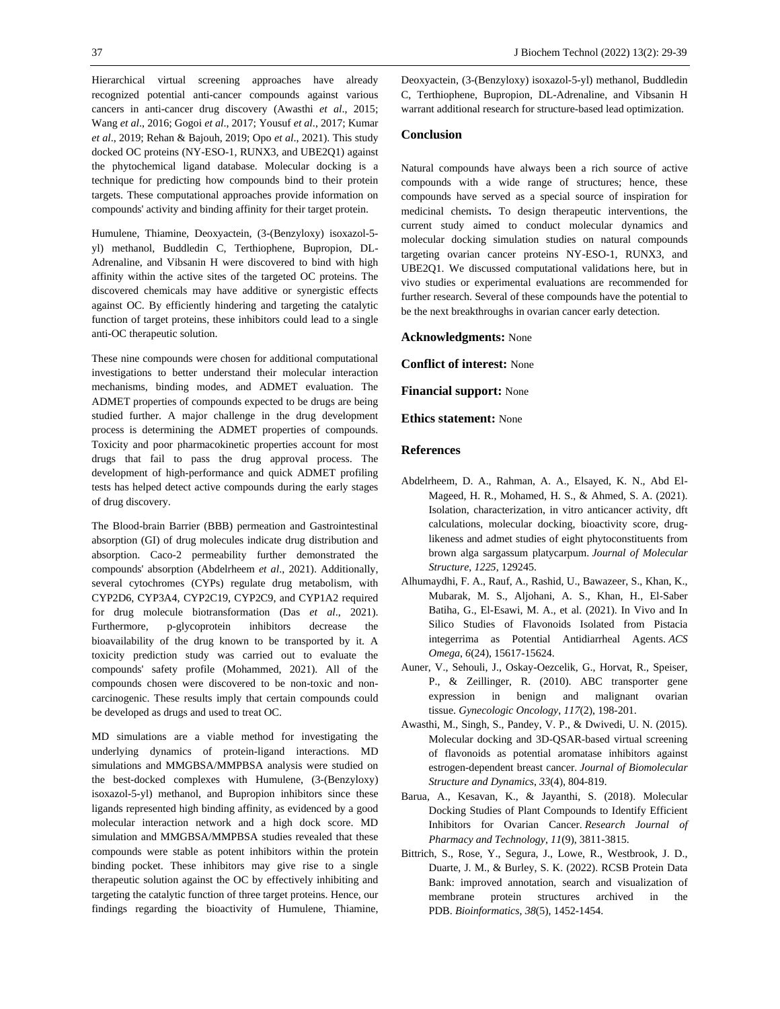Hierarchical virtual screening approaches have already recognized potential anti-cancer compounds against various cancers in anti-cancer drug discovery (Awasthi *et al*., 2015; Wang *et al*., 2016; Gogoi *et al*., 2017; Yousuf *et al*., 2017; Kumar *et al*., 2019; Rehan & Bajouh, 2019; Opo *et al*., 2021). This study docked OC proteins (NY-ESO-1, RUNX3, and UBE2Q1) against the phytochemical ligand database. Molecular docking is a technique for predicting how compounds bind to their protein targets. These computational approaches provide information on compounds' activity and binding affinity for their target protein.

Humulene, Thiamine, Deoxyactein, (3-(Benzyloxy) isoxazol-5 yl) methanol, Buddledin C, Terthiophene, Bupropion, DL-Adrenaline, and Vibsanin H were discovered to bind with high affinity within the active sites of the targeted OC proteins. The discovered chemicals may have additive or synergistic effects against OC. By efficiently hindering and targeting the catalytic function of target proteins, these inhibitors could lead to a single anti-OC therapeutic solution.

These nine compounds were chosen for additional computational investigations to better understand their molecular interaction mechanisms, binding modes, and ADMET evaluation. The ADMET properties of compounds expected to be drugs are being studied further. A major challenge in the drug development process is determining the ADMET properties of compounds. Toxicity and poor pharmacokinetic properties account for most drugs that fail to pass the drug approval process. The development of high-performance and quick ADMET profiling tests has helped detect active compounds during the early stages of drug discovery.

The Blood-brain Barrier (BBB) permeation and Gastrointestinal absorption (GI) of drug molecules indicate drug distribution and absorption. Caco-2 permeability further demonstrated the compounds' absorption (Abdelrheem *et al*., 2021). Additionally, several cytochromes (CYPs) regulate drug metabolism, with CYP2D6, CYP3A4, CYP2C19, CYP2C9, and CYP1A2 required for drug molecule biotransformation (Das *et al*., 2021). Furthermore, p-glycoprotein inhibitors decrease the bioavailability of the drug known to be transported by it. A toxicity prediction study was carried out to evaluate the compounds' safety profile (Mohammed, 2021). All of the compounds chosen were discovered to be non-toxic and noncarcinogenic. These results imply that certain compounds could be developed as drugs and used to treat OC.

MD simulations are a viable method for investigating the underlying dynamics of protein-ligand interactions. MD simulations and MMGBSA/MMPBSA analysis were studied on the best-docked complexes with Humulene, (3-(Benzyloxy) isoxazol-5-yl) methanol, and Bupropion inhibitors since these ligands represented high binding affinity, as evidenced by a good molecular interaction network and a high dock score. MD simulation and MMGBSA/MMPBSA studies revealed that these compounds were stable as potent inhibitors within the protein binding pocket. These inhibitors may give rise to a single therapeutic solution against the OC by effectively inhibiting and targeting the catalytic function of three target proteins. Hence, our findings regarding the bioactivity of Humulene, Thiamine,

Deoxyactein, (3-(Benzyloxy) isoxazol-5-yl) methanol, Buddledin C, Terthiophene, Bupropion, DL-Adrenaline, and Vibsanin H warrant additional research for structure-based lead optimization.

## **Conclusion**

Natural compounds have always been a rich source of active compounds with a wide range of structures; hence, these compounds have served as a special source of inspiration for medicinal chemists**.** To design therapeutic interventions, the current study aimed to conduct molecular dynamics and molecular docking simulation studies on natural compounds targeting ovarian cancer proteins NY-ESO-1, RUNX3, and UBE2Q1. We discussed computational validations here, but in vivo studies or experimental evaluations are recommended for further research. Several of these compounds have the potential to be the next breakthroughs in ovarian cancer early detection.

**Acknowledgments:** None

**Conflict of interest:** None

**Financial support:** None

**Ethics statement:** None

### **References**

- Abdelrheem, D. A., Rahman, A. A., Elsayed, K. N., Abd El-Mageed, H. R., Mohamed, H. S., & Ahmed, S. A. (2021). Isolation, characterization, in vitro anticancer activity, dft calculations, molecular docking, bioactivity score, druglikeness and admet studies of eight phytoconstituents from brown alga sargassum platycarpum. *Journal of Molecular Structure*, *1225*, 129245.
- Alhumaydhi, F. A., Rauf, A., Rashid, U., Bawazeer, S., Khan, K., Mubarak, M. S., Aljohani, A. S., Khan, H., El-Saber Batiha, G., El-Esawi, M. A., et al. (2021). In Vivo and In Silico Studies of Flavonoids Isolated from Pistacia integerrima as Potential Antidiarrheal Agents. *ACS Omega*, *6*(24), 15617-15624.
- Auner, V., Sehouli, J., Oskay-Oezcelik, G., Horvat, R., Speiser, P., & Zeillinger, R. (2010). ABC transporter gene expression in benign and malignant ovarian tissue. *Gynecologic Oncology*, *117*(2), 198-201.
- Awasthi, M., Singh, S., Pandey, V. P., & Dwivedi, U. N. (2015). Molecular docking and 3D-QSAR-based virtual screening of flavonoids as potential aromatase inhibitors against estrogen-dependent breast cancer. *Journal of Biomolecular Structure and Dynamics*, *33*(4), 804-819.
- Barua, A., Kesavan, K., & Jayanthi, S. (2018). Molecular Docking Studies of Plant Compounds to Identify Efficient Inhibitors for Ovarian Cancer. *Research Journal of Pharmacy and Technology*, *11*(9), 3811-3815.
- Bittrich, S., Rose, Y., Segura, J., Lowe, R., Westbrook, J. D., Duarte, J. M., & Burley, S. K. (2022). RCSB Protein Data Bank: improved annotation, search and visualization of membrane protein structures archived in the PDB. *Bioinformatics*, *38*(5), 1452-1454.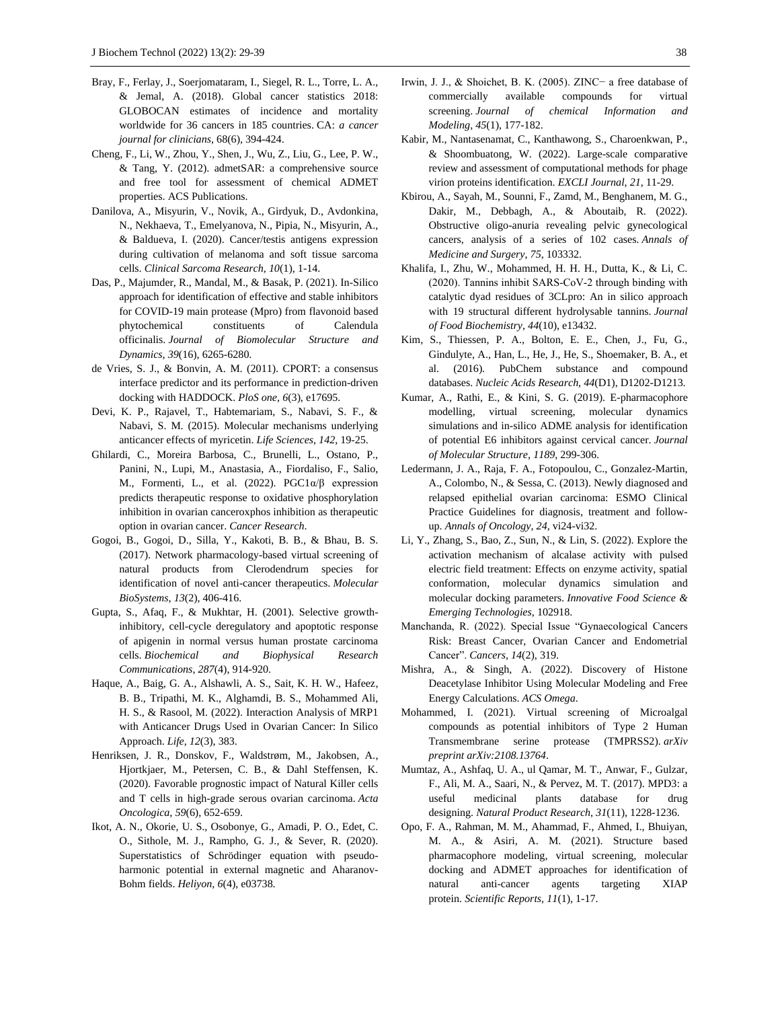- Bray, F., Ferlay, J., Soerjomataram, I., Siegel, R. L., Torre, L. A., & Jemal, A. (2018). Global cancer statistics 2018: GLOBOCAN estimates of incidence and mortality worldwide for 36 cancers in 185 countries. CA: *a cancer journal for clinicians*, 68(6), 394-424.
- Cheng, F., Li, W., Zhou, Y., Shen, J., Wu, Z., Liu, G., Lee, P. W., & Tang, Y. (2012). admetSAR: a comprehensive source and free tool for assessment of chemical ADMET properties. ACS Publications.
- Danilova, A., Misyurin, V., Novik, A., Girdyuk, D., Avdonkina, N., Nekhaeva, T., Emelyanova, N., Pipia, N., Misyurin, A., & Baldueva, I. (2020). Cancer/testis antigens expression during cultivation of melanoma and soft tissue sarcoma cells. *Clinical Sarcoma Research*, *10*(1), 1-14.
- Das, P., Majumder, R., Mandal, M., & Basak, P. (2021). In-Silico approach for identification of effective and stable inhibitors for COVID-19 main protease (Mpro) from flavonoid based phytochemical constituents of Calendula officinalis. *Journal of Biomolecular Structure and Dynamics*, *39*(16), 6265-6280.
- de Vries, S. J., & Bonvin, A. M. (2011). CPORT: a consensus interface predictor and its performance in prediction-driven docking with HADDOCK. *PloS one*, *6*(3), e17695.
- Devi, K. P., Rajavel, T., Habtemariam, S., Nabavi, S. F., & Nabavi, S. M. (2015). Molecular mechanisms underlying anticancer effects of myricetin. *Life Sciences*, *142*, 19-25.
- Ghilardi, C., Moreira Barbosa, C., Brunelli, L., Ostano, P., Panini, N., Lupi, M., Anastasia, A., Fiordaliso, F., Salio, M., Formenti, L., et al. (2022). PGC1α/β expression predicts therapeutic response to oxidative phosphorylation inhibition in ovarian canceroxphos inhibition as therapeutic option in ovarian cancer. *Cancer Research*.
- Gogoi, B., Gogoi, D., Silla, Y., Kakoti, B. B., & Bhau, B. S. (2017). Network pharmacology-based virtual screening of natural products from Clerodendrum species for identification of novel anti-cancer therapeutics. *Molecular BioSystems*, *13*(2), 406-416.
- Gupta, S., Afaq, F., & Mukhtar, H. (2001). Selective growthinhibitory, cell-cycle deregulatory and apoptotic response of apigenin in normal versus human prostate carcinoma cells. *Biochemical and Biophysical Research Communications*, *287*(4), 914-920.
- Haque, A., Baig, G. A., Alshawli, A. S., Sait, K. H. W., Hafeez, B. B., Tripathi, M. K., Alghamdi, B. S., Mohammed Ali, H. S., & Rasool, M. (2022). Interaction Analysis of MRP1 with Anticancer Drugs Used in Ovarian Cancer: In Silico Approach. *Life*, *12*(3), 383.
- Henriksen, J. R., Donskov, F., Waldstrøm, M., Jakobsen, A., Hjortkjaer, M., Petersen, C. B., & Dahl Steffensen, K. (2020). Favorable prognostic impact of Natural Killer cells and T cells in high-grade serous ovarian carcinoma. *Acta Oncologica*, *59*(6), 652-659.
- Ikot, A. N., Okorie, U. S., Osobonye, G., Amadi, P. O., Edet, C. O., Sithole, M. J., Rampho, G. J., & Sever, R. (2020). Superstatistics of Schrödinger equation with pseudoharmonic potential in external magnetic and Aharanov-Bohm fields. *Heliyon*, *6*(4), e03738.
- Irwin, J. J., & Shoichet, B. K. (2005). ZINC− a free database of commercially available compounds for virtual screening. *Journal of chemical Information and Modeling*, *45*(1), 177-182.
- Kabir, M., Nantasenamat, C., Kanthawong, S., Charoenkwan, P., & Shoombuatong, W. (2022). Large-scale comparative review and assessment of computational methods for phage virion proteins identification. *EXCLI Journal*, *21*, 11-29.
- Kbirou, A., Sayah, M., Sounni, F., Zamd, M., Benghanem, M. G., Dakir, M., Debbagh, A., & Aboutaib, R. (2022). Obstructive oligo-anuria revealing pelvic gynecological cancers, analysis of a series of 102 cases. *Annals of Medicine and Surgery*, *75*, 103332.
- Khalifa, I., Zhu, W., Mohammed, H. H. H., Dutta, K., & Li, C. (2020). Tannins inhibit SARS‐CoV‐2 through binding with catalytic dyad residues of 3CLpro: An in silico approach with 19 structural different hydrolysable tannins. *Journal of Food Biochemistry*, *44*(10), e13432.
- Kim, S., Thiessen, P. A., Bolton, E. E., Chen, J., Fu, G., Gindulyte, A., Han, L., He, J., He, S., Shoemaker, B. A., et al. (2016). PubChem substance and compound databases. *Nucleic Acids Research*, *44*(D1), D1202-D1213.
- Kumar, A., Rathi, E., & Kini, S. G. (2019). E-pharmacophore modelling, virtual screening, molecular dynamics simulations and in-silico ADME analysis for identification of potential E6 inhibitors against cervical cancer. *Journal of Molecular Structure*, *1189*, 299-306.
- Ledermann, J. A., Raja, F. A., Fotopoulou, C., Gonzalez-Martin, A., Colombo, N., & Sessa, C. (2013). Newly diagnosed and relapsed epithelial ovarian carcinoma: ESMO Clinical Practice Guidelines for diagnosis, treatment and followup. *Annals of Oncology*, *24*, vi24-vi32.
- Li, Y., Zhang, S., Bao, Z., Sun, N., & Lin, S. (2022). Explore the activation mechanism of alcalase activity with pulsed electric field treatment: Effects on enzyme activity, spatial conformation, molecular dynamics simulation and molecular docking parameters. *Innovative Food Science & Emerging Technologies*, 102918.
- Manchanda, R. (2022). Special Issue "Gynaecological Cancers Risk: Breast Cancer, Ovarian Cancer and Endometrial Cancer". *Cancers*, *14*(2), 319.
- Mishra, A., & Singh, A. (2022). Discovery of Histone Deacetylase Inhibitor Using Molecular Modeling and Free Energy Calculations. *ACS Omega*.
- Mohammed, I. (2021). Virtual screening of Microalgal compounds as potential inhibitors of Type 2 Human Transmembrane serine protease (TMPRSS2). *arXiv preprint arXiv:2108.13764*.
- Mumtaz, A., Ashfaq, U. A., ul Qamar, M. T., Anwar, F., Gulzar, F., Ali, M. A., Saari, N., & Pervez, M. T. (2017). MPD3: a useful medicinal plants database for drug designing. *Natural Product Research*, *31*(11), 1228-1236.
- Opo, F. A., Rahman, M. M., Ahammad, F., Ahmed, I., Bhuiyan, M. A., & Asiri, A. M. (2021). Structure based pharmacophore modeling, virtual screening, molecular docking and ADMET approaches for identification of natural anti-cancer agents targeting XIAP protein. *Scientific Reports*, *11*(1), 1-17.